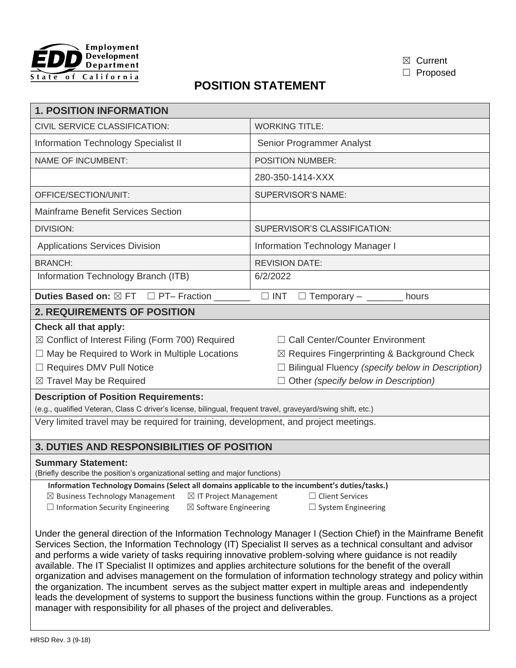



☐ Proposed

## **POSITION STATEMENT**

| <b>1. POSITION INFORMATION</b>                                                                                                                                                                                                                                                                                                                                                                                                                                                                                                                                                                                                                                                                                                                                                                  |                                                         |  |  |  |
|-------------------------------------------------------------------------------------------------------------------------------------------------------------------------------------------------------------------------------------------------------------------------------------------------------------------------------------------------------------------------------------------------------------------------------------------------------------------------------------------------------------------------------------------------------------------------------------------------------------------------------------------------------------------------------------------------------------------------------------------------------------------------------------------------|---------------------------------------------------------|--|--|--|
| CIVIL SERVICE CLASSIFICATION:                                                                                                                                                                                                                                                                                                                                                                                                                                                                                                                                                                                                                                                                                                                                                                   | <b>WORKING TITLE:</b>                                   |  |  |  |
| Information Technology Specialist II                                                                                                                                                                                                                                                                                                                                                                                                                                                                                                                                                                                                                                                                                                                                                            | Senior Programmer Analyst                               |  |  |  |
| <b>NAME OF INCUMBENT:</b>                                                                                                                                                                                                                                                                                                                                                                                                                                                                                                                                                                                                                                                                                                                                                                       | <b>POSITION NUMBER:</b>                                 |  |  |  |
|                                                                                                                                                                                                                                                                                                                                                                                                                                                                                                                                                                                                                                                                                                                                                                                                 | 280-350-1414-XXX                                        |  |  |  |
| OFFICE/SECTION/UNIT:                                                                                                                                                                                                                                                                                                                                                                                                                                                                                                                                                                                                                                                                                                                                                                            | <b>SUPERVISOR'S NAME:</b>                               |  |  |  |
| <b>Mainframe Benefit Services Section</b>                                                                                                                                                                                                                                                                                                                                                                                                                                                                                                                                                                                                                                                                                                                                                       |                                                         |  |  |  |
| <b>DIVISION:</b>                                                                                                                                                                                                                                                                                                                                                                                                                                                                                                                                                                                                                                                                                                                                                                                | SUPERVISOR'S CLASSIFICATION:                            |  |  |  |
| <b>Applications Services Division</b>                                                                                                                                                                                                                                                                                                                                                                                                                                                                                                                                                                                                                                                                                                                                                           | <b>Information Technology Manager I</b>                 |  |  |  |
| <b>BRANCH:</b>                                                                                                                                                                                                                                                                                                                                                                                                                                                                                                                                                                                                                                                                                                                                                                                  | <b>REVISION DATE:</b>                                   |  |  |  |
| Information Technology Branch (ITB)                                                                                                                                                                                                                                                                                                                                                                                                                                                                                                                                                                                                                                                                                                                                                             | 6/2/2022                                                |  |  |  |
| Duties Based on: ⊠ FT □ PT- Fraction ______                                                                                                                                                                                                                                                                                                                                                                                                                                                                                                                                                                                                                                                                                                                                                     | $\Box$ INT $\Box$ Temporary – ________ hours            |  |  |  |
| <b>2. REQUIREMENTS OF POSITION</b>                                                                                                                                                                                                                                                                                                                                                                                                                                                                                                                                                                                                                                                                                                                                                              |                                                         |  |  |  |
| Check all that apply:                                                                                                                                                                                                                                                                                                                                                                                                                                                                                                                                                                                                                                                                                                                                                                           |                                                         |  |  |  |
| $\boxtimes$ Conflict of Interest Filing (Form 700) Required                                                                                                                                                                                                                                                                                                                                                                                                                                                                                                                                                                                                                                                                                                                                     | □ Call Center/Counter Environment                       |  |  |  |
| $\Box$ May be Required to Work in Multiple Locations                                                                                                                                                                                                                                                                                                                                                                                                                                                                                                                                                                                                                                                                                                                                            | $\boxtimes$ Requires Fingerprinting & Background Check  |  |  |  |
| □ Requires DMV Pull Notice                                                                                                                                                                                                                                                                                                                                                                                                                                                                                                                                                                                                                                                                                                                                                                      | $\Box$ Bilingual Fluency (specify below in Description) |  |  |  |
| $\boxtimes$ Travel May be Required                                                                                                                                                                                                                                                                                                                                                                                                                                                                                                                                                                                                                                                                                                                                                              | $\Box$ Other (specify below in Description)             |  |  |  |
| <b>Description of Position Requirements:</b>                                                                                                                                                                                                                                                                                                                                                                                                                                                                                                                                                                                                                                                                                                                                                    |                                                         |  |  |  |
| (e.g., qualified Veteran, Class C driver's license, bilingual, frequent travel, graveyard/swing shift, etc.)                                                                                                                                                                                                                                                                                                                                                                                                                                                                                                                                                                                                                                                                                    |                                                         |  |  |  |
| Very limited travel may be required for training, development, and project meetings.                                                                                                                                                                                                                                                                                                                                                                                                                                                                                                                                                                                                                                                                                                            |                                                         |  |  |  |
| 3. DUTIES AND RESPONSIBILITIES OF POSITION                                                                                                                                                                                                                                                                                                                                                                                                                                                                                                                                                                                                                                                                                                                                                      |                                                         |  |  |  |
| <b>Summary Statement:</b><br>(Briefly describe the position's organizational setting and major functions)                                                                                                                                                                                                                                                                                                                                                                                                                                                                                                                                                                                                                                                                                       |                                                         |  |  |  |
| Information Technology Domains (Select all domains applicable to the incumbent's duties/tasks.)                                                                                                                                                                                                                                                                                                                                                                                                                                                                                                                                                                                                                                                                                                 |                                                         |  |  |  |
| $\boxtimes$ Business Technology Management<br>$\boxtimes$ IT Project Management<br>$\Box$ Client Services                                                                                                                                                                                                                                                                                                                                                                                                                                                                                                                                                                                                                                                                                       |                                                         |  |  |  |
| $\Box$ Information Security Engineering<br>$\boxtimes$ Software Engineering                                                                                                                                                                                                                                                                                                                                                                                                                                                                                                                                                                                                                                                                                                                     | $\Box$ System Engineering                               |  |  |  |
| Under the general direction of the Information Technology Manager I (Section Chief) in the Mainframe Benefit<br>Services Section, the Information Technology (IT) Specialist II serves as a technical consultant and advisor<br>and performs a wide variety of tasks requiring innovative problem-solving where guidance is not readily<br>available. The IT Specialist II optimizes and applies architecture solutions for the benefit of the overall<br>organization and advises management on the formulation of information technology strategy and policy within<br>the organization. The incumbent serves as the subject matter expert in multiple areas and independently<br>leads the development of systems to support the business functions within the group. Functions as a project |                                                         |  |  |  |

manager with responsibility for all phases of the project and deliverables.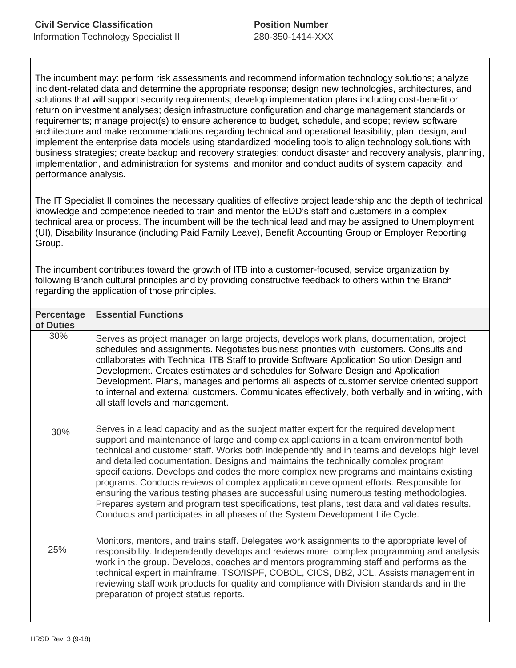The incumbent may: perform risk assessments and recommend information technology solutions; analyze incident-related data and determine the appropriate response; design new technologies, architectures, and solutions that will support security requirements; develop implementation plans including cost-benefit or return on investment analyses; design infrastructure configuration and change management standards or requirements; manage project(s) to ensure adherence to budget, schedule, and scope; review software architecture and make recommendations regarding technical and operational feasibility; plan, design, and implement the enterprise data models using standardized modeling tools to align technology solutions with business strategies; create backup and recovery strategies; conduct disaster and recovery analysis, planning, implementation, and administration for systems; and monitor and conduct audits of system capacity, and performance analysis.

The IT Specialist II combines the necessary qualities of effective project leadership and the depth of technical knowledge and competence needed to train and mentor the EDD's staff and customers in a complex technical area or process. The incumbent will be the technical lead and may be assigned to Unemployment (UI), Disability Insurance (including Paid Family Leave), Benefit Accounting Group or Employer Reporting Group.

The incumbent contributes toward the growth of ITB into a customer-focused, service organization by following Branch cultural principles and by providing constructive feedback to others within the Branch regarding the application of those principles.

| <b>Percentage</b><br>of Duties | <b>Essential Functions</b>                                                                                                                                                                                                                                                                                                                                                                                                                                                                                                                                                                                                                                                                                                                                                                                                                |
|--------------------------------|-------------------------------------------------------------------------------------------------------------------------------------------------------------------------------------------------------------------------------------------------------------------------------------------------------------------------------------------------------------------------------------------------------------------------------------------------------------------------------------------------------------------------------------------------------------------------------------------------------------------------------------------------------------------------------------------------------------------------------------------------------------------------------------------------------------------------------------------|
| 30%                            | Serves as project manager on large projects, develops work plans, documentation, project<br>schedules and assignments. Negotiates business priorities with customers. Consults and<br>collaborates with Technical ITB Staff to provide Software Application Solution Design and<br>Development. Creates estimates and schedules for Sofware Design and Application<br>Development. Plans, manages and performs all aspects of customer service oriented support<br>to internal and external customers. Communicates effectively, both verbally and in writing, with<br>all staff levels and management.                                                                                                                                                                                                                                   |
| 30%                            | Serves in a lead capacity and as the subject matter expert for the required development,<br>support and maintenance of large and complex applications in a team environmentof both<br>technical and customer staff. Works both independently and in teams and develops high level<br>and detailed documentation. Designs and maintains the technically complex program<br>specifications. Develops and codes the more complex new programs and maintains existing<br>programs. Conducts reviews of complex application development efforts. Responsible for<br>ensuring the various testing phases are successful using numerous testing methodologies.<br>Prepares system and program test specifications, test plans, test data and validates results.<br>Conducts and participates in all phases of the System Development Life Cycle. |
| 25%                            | Monitors, mentors, and trains staff. Delegates work assignments to the appropriate level of<br>responsibility. Independently develops and reviews more complex programming and analysis<br>work in the group. Develops, coaches and mentors programming staff and performs as the<br>technical expert in mainframe, TSO/ISPF, COBOL, CICS, DB2, JCL. Assists management in<br>reviewing staff work products for quality and compliance with Division standards and in the<br>preparation of project status reports.                                                                                                                                                                                                                                                                                                                       |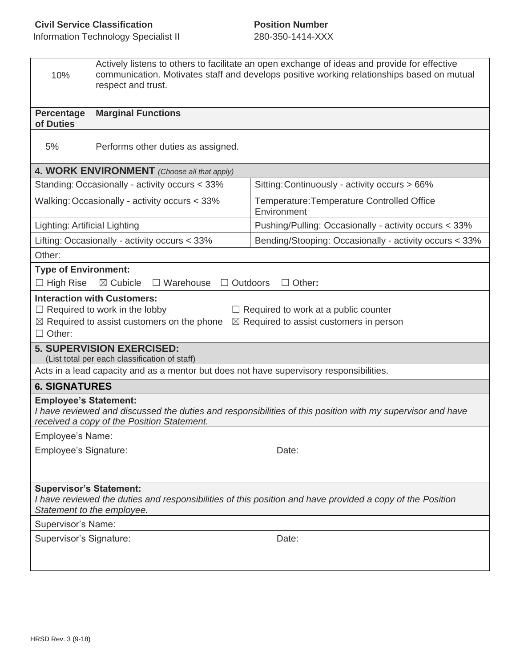| 10%                                                                                                                                                                                                                                                       | Actively listens to others to facilitate an open exchange of ideas and provide for effective<br>communication. Motivates staff and develops positive working relationships based on mutual<br>respect and trust. |                                                           |  |  |
|-----------------------------------------------------------------------------------------------------------------------------------------------------------------------------------------------------------------------------------------------------------|------------------------------------------------------------------------------------------------------------------------------------------------------------------------------------------------------------------|-----------------------------------------------------------|--|--|
| Percentage<br>of Duties                                                                                                                                                                                                                                   | <b>Marginal Functions</b>                                                                                                                                                                                        |                                                           |  |  |
| 5%                                                                                                                                                                                                                                                        | Performs other duties as assigned.                                                                                                                                                                               |                                                           |  |  |
|                                                                                                                                                                                                                                                           | 4. WORK ENVIRONMENT (Choose all that apply)                                                                                                                                                                      |                                                           |  |  |
|                                                                                                                                                                                                                                                           | Standing: Occasionally - activity occurs < 33%                                                                                                                                                                   | Sitting: Continuously - activity occurs > 66%             |  |  |
| Walking: Occasionally - activity occurs < 33%                                                                                                                                                                                                             |                                                                                                                                                                                                                  | Temperature: Temperature Controlled Office<br>Environment |  |  |
|                                                                                                                                                                                                                                                           | Pushing/Pulling: Occasionally - activity occurs < 33%<br>Lighting: Artificial Lighting                                                                                                                           |                                                           |  |  |
|                                                                                                                                                                                                                                                           | Lifting: Occasionally - activity occurs < 33%                                                                                                                                                                    | Bending/Stooping: Occasionally - activity occurs < 33%    |  |  |
| Other:                                                                                                                                                                                                                                                    |                                                                                                                                                                                                                  |                                                           |  |  |
| <b>Type of Environment:</b><br>$\Box$ High Rise                                                                                                                                                                                                           | $\boxtimes$ Cubicle<br>$\Box$ Warehouse<br>$\Box$ Outdoors                                                                                                                                                       | $\Box$ Other:                                             |  |  |
| <b>Interaction with Customers:</b><br>$\Box$ Required to work in the lobby<br>$\Box$ Required to work at a public counter<br>$\boxtimes$ Required to assist customers on the phone<br>$\boxtimes$ Required to assist customers in person<br>$\Box$ Other: |                                                                                                                                                                                                                  |                                                           |  |  |
| <b>5. SUPERVISION EXERCISED:</b><br>(List total per each classification of staff)                                                                                                                                                                         |                                                                                                                                                                                                                  |                                                           |  |  |
|                                                                                                                                                                                                                                                           | Acts in a lead capacity and as a mentor but does not have supervisory responsibilities.                                                                                                                          |                                                           |  |  |
| <b>6. SIGNATURES</b>                                                                                                                                                                                                                                      |                                                                                                                                                                                                                  |                                                           |  |  |
| <b>Employee's Statement:</b><br>I have reviewed and discussed the duties and responsibilities of this position with my supervisor and have<br>received a copy of the Position Statement.                                                                  |                                                                                                                                                                                                                  |                                                           |  |  |
| Employee's Name:<br>Date:                                                                                                                                                                                                                                 |                                                                                                                                                                                                                  |                                                           |  |  |
| Employee's Signature:                                                                                                                                                                                                                                     |                                                                                                                                                                                                                  |                                                           |  |  |
| <b>Supervisor's Statement:</b><br>I have reviewed the duties and responsibilities of this position and have provided a copy of the Position<br>Statement to the employee.                                                                                 |                                                                                                                                                                                                                  |                                                           |  |  |
| Supervisor's Name:                                                                                                                                                                                                                                        |                                                                                                                                                                                                                  |                                                           |  |  |
| Supervisor's Signature:                                                                                                                                                                                                                                   |                                                                                                                                                                                                                  | Date:                                                     |  |  |
|                                                                                                                                                                                                                                                           |                                                                                                                                                                                                                  |                                                           |  |  |